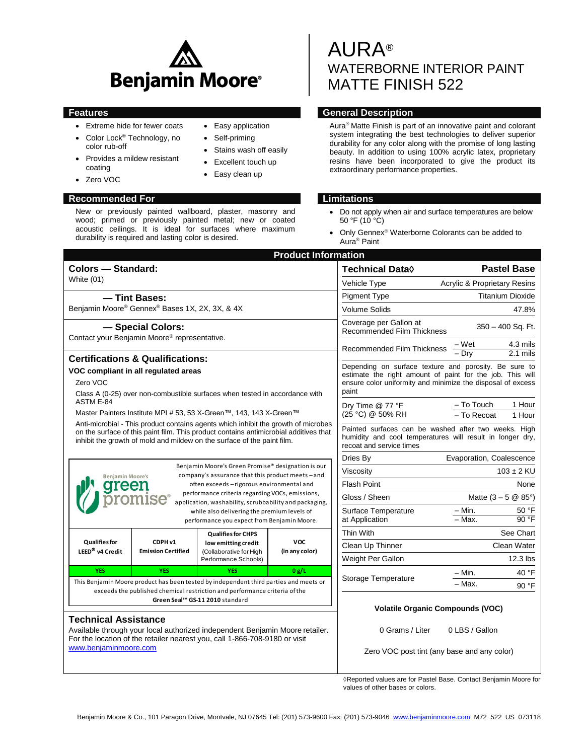

- Extreme hide for fewer coats
- Color Lock<sup>®</sup> Technology, no
- color rub-off • Provides a mildew resistant coating
- Zero VOC

#### **Recommended For Limitations**

New or previously painted wallboard, plaster, masonry and wood; primed or previously painted metal; new or coated acoustic ceilings. It is ideal for surfaces where maximum durability is required and lasting color is desired.

• Easy application

- Self-priming
- Stains wash off easily
- Excellent touch up
- Easy clean up

# AURA® WATERBORNE INTERIOR PAINT MATTE FINISH 522

# **Features General Description**

Aura<sup>®</sup> Matte Finish is part of an innovative paint and colorant system integrating the best technologies to deliver superior durability for any color along with the promise of long lasting beauty. In addition to using 100% acrylic latex, proprietary resins have been incorporated to give the product its extraordinary performance properties.

- Do not apply when air and surface temperatures are below 50 °F (10 °C)
- Only Gennex<sup>®</sup> Waterborne Colorants can be added to Aura® Paint

| <b>Pastel Base</b><br>Technical Data $\Diamond$<br><b>White (01)</b><br><b>Acrylic &amp; Proprietary Resins</b><br>Vehicle Type<br><b>Pigment Type</b><br><b>Titanium Dioxide</b><br>- Tint Bases:<br>Benjamin Moore® Gennex® Bases 1X, 2X, 3X, & 4X<br><b>Volume Solids</b><br>47.8%<br>Coverage per Gallon at<br>- Special Colors:<br>$350 - 400$ Sq. Ft.<br><b>Recommended Film Thickness</b><br>Contact your Benjamin Moore® representative.<br>$\frac{-\text{Wet}}{-\text{Dry}}$<br>4.3 mils<br>Recommended Film Thickness<br>2.1 mils<br><b>Certifications &amp; Qualifications:</b><br>Depending on surface texture and porosity. Be sure to<br>VOC compliant in all regulated areas<br>estimate the right amount of paint for the job. This will<br>Zero VOC<br>ensure color uniformity and minimize the disposal of excess<br>paint<br>Class A (0-25) over non-combustible surfaces when tested in accordance with<br>ASTM E-84<br>- To Touch<br>1 Hour<br>Dry Time @ 77 °F<br>Master Painters Institute MPI # 53, 53 X-Green™, 143, 143 X-Green™<br>(25 °C) @ 50% RH<br>$-$ To Recoat<br>1 Hour<br>Anti-microbial - This product contains agents which inhibit the growth of microbes<br>Painted surfaces can be washed after two weeks. High<br>on the surface of this paint film. This product contains antimicrobial additives that<br>humidity and cool temperatures will result in longer dry,<br>inhibit the growth of mold and mildew on the surface of the paint film.<br>recoat and service times<br>Evaporation, Coalescence<br>Dries By<br>Benjamin Moore's Green Promise® designation is our<br>$103 \pm 2$ KU<br>Viscosity<br>company's assurance that this product meets-and<br><b>Benjamin Moore's</b><br>often exceeds - rigorous environmental and<br><b>Flash Point</b><br>None<br>reer<br>performance criteria regarding VOCs, emissions,<br>Gloss / Sheen<br>Matte $(3 - 5 \& 85^{\circ})$<br>application, washability, scrubbability and packaging,<br>Surface Temperature<br>$-$ Min.<br>50 °F<br>while also delivering the premium levels of<br>$-Max$ .<br>90 °F<br>at Application<br>performance you expect from Benjamin Moore.<br>Thin With<br>See Chart<br><b>Qualifies for CHPS</b><br><b>Qualifies for</b><br><b>VOC</b><br>CDPH <sub>v1</sub><br>low emitting credit<br>Clean Up Thinner<br>Clean Water<br>LEED <sup>®</sup> v4 Credit<br><b>Emission Certified</b><br>(in any color)<br>(Collaborative for High<br>Weight Per Gallon<br>12.3 lbs<br>Performance Schools)<br><b>YES</b><br><b>YES</b><br><b>YES</b><br>0 g/L<br>$-$ Min.<br>40 °F<br>Storage Temperature<br>This Benjamin Moore product has been tested by independent third parties and meets or<br>- Max.<br>90 °F<br>exceeds the published chemical restriction and performance criteria of the<br>Green Seal™ GS-11 2010 standard<br><b>Volatile Organic Compounds (VOC)</b><br><b>Technical Assistance</b><br>0 Grams / Liter<br>0 LBS / Gallon<br>Available through your local authorized independent Benjamin Moore retailer.<br>For the location of the retailer nearest you, call 1-866-708-9180 or visit<br>www.benjaminmoore.com<br>Zero VOC post tint (any base and any color) | <b>Product Information</b> |  |  |  |  |  |  |  |
|-----------------------------------------------------------------------------------------------------------------------------------------------------------------------------------------------------------------------------------------------------------------------------------------------------------------------------------------------------------------------------------------------------------------------------------------------------------------------------------------------------------------------------------------------------------------------------------------------------------------------------------------------------------------------------------------------------------------------------------------------------------------------------------------------------------------------------------------------------------------------------------------------------------------------------------------------------------------------------------------------------------------------------------------------------------------------------------------------------------------------------------------------------------------------------------------------------------------------------------------------------------------------------------------------------------------------------------------------------------------------------------------------------------------------------------------------------------------------------------------------------------------------------------------------------------------------------------------------------------------------------------------------------------------------------------------------------------------------------------------------------------------------------------------------------------------------------------------------------------------------------------------------------------------------------------------------------------------------------------------------------------------------------------------------------------------------------------------------------------------------------------------------------------------------------------------------------------------------------------------------------------------------------------------------------------------------------------------------------------------------------------------------------------------------------------------------------------------------------------------------------------------------------------------------------------------------------------------------------------------------------------------------------------------------------------------------------------------------------------------------------------------------------------------------------------------------------------------------------------------------------------------------------------------------------------------------------------------------------------------------------------------------------------------------------------------------------------------------------------------------------------------------------------------------------------------------------|----------------------------|--|--|--|--|--|--|--|
|                                                                                                                                                                                                                                                                                                                                                                                                                                                                                                                                                                                                                                                                                                                                                                                                                                                                                                                                                                                                                                                                                                                                                                                                                                                                                                                                                                                                                                                                                                                                                                                                                                                                                                                                                                                                                                                                                                                                                                                                                                                                                                                                                                                                                                                                                                                                                                                                                                                                                                                                                                                                                                                                                                                                                                                                                                                                                                                                                                                                                                                                                                                                                                                                     | <b>Colors - Standard:</b>  |  |  |  |  |  |  |  |
|                                                                                                                                                                                                                                                                                                                                                                                                                                                                                                                                                                                                                                                                                                                                                                                                                                                                                                                                                                                                                                                                                                                                                                                                                                                                                                                                                                                                                                                                                                                                                                                                                                                                                                                                                                                                                                                                                                                                                                                                                                                                                                                                                                                                                                                                                                                                                                                                                                                                                                                                                                                                                                                                                                                                                                                                                                                                                                                                                                                                                                                                                                                                                                                                     |                            |  |  |  |  |  |  |  |
|                                                                                                                                                                                                                                                                                                                                                                                                                                                                                                                                                                                                                                                                                                                                                                                                                                                                                                                                                                                                                                                                                                                                                                                                                                                                                                                                                                                                                                                                                                                                                                                                                                                                                                                                                                                                                                                                                                                                                                                                                                                                                                                                                                                                                                                                                                                                                                                                                                                                                                                                                                                                                                                                                                                                                                                                                                                                                                                                                                                                                                                                                                                                                                                                     |                            |  |  |  |  |  |  |  |
|                                                                                                                                                                                                                                                                                                                                                                                                                                                                                                                                                                                                                                                                                                                                                                                                                                                                                                                                                                                                                                                                                                                                                                                                                                                                                                                                                                                                                                                                                                                                                                                                                                                                                                                                                                                                                                                                                                                                                                                                                                                                                                                                                                                                                                                                                                                                                                                                                                                                                                                                                                                                                                                                                                                                                                                                                                                                                                                                                                                                                                                                                                                                                                                                     |                            |  |  |  |  |  |  |  |
|                                                                                                                                                                                                                                                                                                                                                                                                                                                                                                                                                                                                                                                                                                                                                                                                                                                                                                                                                                                                                                                                                                                                                                                                                                                                                                                                                                                                                                                                                                                                                                                                                                                                                                                                                                                                                                                                                                                                                                                                                                                                                                                                                                                                                                                                                                                                                                                                                                                                                                                                                                                                                                                                                                                                                                                                                                                                                                                                                                                                                                                                                                                                                                                                     |                            |  |  |  |  |  |  |  |
|                                                                                                                                                                                                                                                                                                                                                                                                                                                                                                                                                                                                                                                                                                                                                                                                                                                                                                                                                                                                                                                                                                                                                                                                                                                                                                                                                                                                                                                                                                                                                                                                                                                                                                                                                                                                                                                                                                                                                                                                                                                                                                                                                                                                                                                                                                                                                                                                                                                                                                                                                                                                                                                                                                                                                                                                                                                                                                                                                                                                                                                                                                                                                                                                     |                            |  |  |  |  |  |  |  |
|                                                                                                                                                                                                                                                                                                                                                                                                                                                                                                                                                                                                                                                                                                                                                                                                                                                                                                                                                                                                                                                                                                                                                                                                                                                                                                                                                                                                                                                                                                                                                                                                                                                                                                                                                                                                                                                                                                                                                                                                                                                                                                                                                                                                                                                                                                                                                                                                                                                                                                                                                                                                                                                                                                                                                                                                                                                                                                                                                                                                                                                                                                                                                                                                     |                            |  |  |  |  |  |  |  |
|                                                                                                                                                                                                                                                                                                                                                                                                                                                                                                                                                                                                                                                                                                                                                                                                                                                                                                                                                                                                                                                                                                                                                                                                                                                                                                                                                                                                                                                                                                                                                                                                                                                                                                                                                                                                                                                                                                                                                                                                                                                                                                                                                                                                                                                                                                                                                                                                                                                                                                                                                                                                                                                                                                                                                                                                                                                                                                                                                                                                                                                                                                                                                                                                     |                            |  |  |  |  |  |  |  |
|                                                                                                                                                                                                                                                                                                                                                                                                                                                                                                                                                                                                                                                                                                                                                                                                                                                                                                                                                                                                                                                                                                                                                                                                                                                                                                                                                                                                                                                                                                                                                                                                                                                                                                                                                                                                                                                                                                                                                                                                                                                                                                                                                                                                                                                                                                                                                                                                                                                                                                                                                                                                                                                                                                                                                                                                                                                                                                                                                                                                                                                                                                                                                                                                     |                            |  |  |  |  |  |  |  |
|                                                                                                                                                                                                                                                                                                                                                                                                                                                                                                                                                                                                                                                                                                                                                                                                                                                                                                                                                                                                                                                                                                                                                                                                                                                                                                                                                                                                                                                                                                                                                                                                                                                                                                                                                                                                                                                                                                                                                                                                                                                                                                                                                                                                                                                                                                                                                                                                                                                                                                                                                                                                                                                                                                                                                                                                                                                                                                                                                                                                                                                                                                                                                                                                     |                            |  |  |  |  |  |  |  |
|                                                                                                                                                                                                                                                                                                                                                                                                                                                                                                                                                                                                                                                                                                                                                                                                                                                                                                                                                                                                                                                                                                                                                                                                                                                                                                                                                                                                                                                                                                                                                                                                                                                                                                                                                                                                                                                                                                                                                                                                                                                                                                                                                                                                                                                                                                                                                                                                                                                                                                                                                                                                                                                                                                                                                                                                                                                                                                                                                                                                                                                                                                                                                                                                     |                            |  |  |  |  |  |  |  |
|                                                                                                                                                                                                                                                                                                                                                                                                                                                                                                                                                                                                                                                                                                                                                                                                                                                                                                                                                                                                                                                                                                                                                                                                                                                                                                                                                                                                                                                                                                                                                                                                                                                                                                                                                                                                                                                                                                                                                                                                                                                                                                                                                                                                                                                                                                                                                                                                                                                                                                                                                                                                                                                                                                                                                                                                                                                                                                                                                                                                                                                                                                                                                                                                     |                            |  |  |  |  |  |  |  |
|                                                                                                                                                                                                                                                                                                                                                                                                                                                                                                                                                                                                                                                                                                                                                                                                                                                                                                                                                                                                                                                                                                                                                                                                                                                                                                                                                                                                                                                                                                                                                                                                                                                                                                                                                                                                                                                                                                                                                                                                                                                                                                                                                                                                                                                                                                                                                                                                                                                                                                                                                                                                                                                                                                                                                                                                                                                                                                                                                                                                                                                                                                                                                                                                     |                            |  |  |  |  |  |  |  |
|                                                                                                                                                                                                                                                                                                                                                                                                                                                                                                                                                                                                                                                                                                                                                                                                                                                                                                                                                                                                                                                                                                                                                                                                                                                                                                                                                                                                                                                                                                                                                                                                                                                                                                                                                                                                                                                                                                                                                                                                                                                                                                                                                                                                                                                                                                                                                                                                                                                                                                                                                                                                                                                                                                                                                                                                                                                                                                                                                                                                                                                                                                                                                                                                     |                            |  |  |  |  |  |  |  |
|                                                                                                                                                                                                                                                                                                                                                                                                                                                                                                                                                                                                                                                                                                                                                                                                                                                                                                                                                                                                                                                                                                                                                                                                                                                                                                                                                                                                                                                                                                                                                                                                                                                                                                                                                                                                                                                                                                                                                                                                                                                                                                                                                                                                                                                                                                                                                                                                                                                                                                                                                                                                                                                                                                                                                                                                                                                                                                                                                                                                                                                                                                                                                                                                     |                            |  |  |  |  |  |  |  |
|                                                                                                                                                                                                                                                                                                                                                                                                                                                                                                                                                                                                                                                                                                                                                                                                                                                                                                                                                                                                                                                                                                                                                                                                                                                                                                                                                                                                                                                                                                                                                                                                                                                                                                                                                                                                                                                                                                                                                                                                                                                                                                                                                                                                                                                                                                                                                                                                                                                                                                                                                                                                                                                                                                                                                                                                                                                                                                                                                                                                                                                                                                                                                                                                     |                            |  |  |  |  |  |  |  |
|                                                                                                                                                                                                                                                                                                                                                                                                                                                                                                                                                                                                                                                                                                                                                                                                                                                                                                                                                                                                                                                                                                                                                                                                                                                                                                                                                                                                                                                                                                                                                                                                                                                                                                                                                                                                                                                                                                                                                                                                                                                                                                                                                                                                                                                                                                                                                                                                                                                                                                                                                                                                                                                                                                                                                                                                                                                                                                                                                                                                                                                                                                                                                                                                     |                            |  |  |  |  |  |  |  |
|                                                                                                                                                                                                                                                                                                                                                                                                                                                                                                                                                                                                                                                                                                                                                                                                                                                                                                                                                                                                                                                                                                                                                                                                                                                                                                                                                                                                                                                                                                                                                                                                                                                                                                                                                                                                                                                                                                                                                                                                                                                                                                                                                                                                                                                                                                                                                                                                                                                                                                                                                                                                                                                                                                                                                                                                                                                                                                                                                                                                                                                                                                                                                                                                     |                            |  |  |  |  |  |  |  |
|                                                                                                                                                                                                                                                                                                                                                                                                                                                                                                                                                                                                                                                                                                                                                                                                                                                                                                                                                                                                                                                                                                                                                                                                                                                                                                                                                                                                                                                                                                                                                                                                                                                                                                                                                                                                                                                                                                                                                                                                                                                                                                                                                                                                                                                                                                                                                                                                                                                                                                                                                                                                                                                                                                                                                                                                                                                                                                                                                                                                                                                                                                                                                                                                     |                            |  |  |  |  |  |  |  |
|                                                                                                                                                                                                                                                                                                                                                                                                                                                                                                                                                                                                                                                                                                                                                                                                                                                                                                                                                                                                                                                                                                                                                                                                                                                                                                                                                                                                                                                                                                                                                                                                                                                                                                                                                                                                                                                                                                                                                                                                                                                                                                                                                                                                                                                                                                                                                                                                                                                                                                                                                                                                                                                                                                                                                                                                                                                                                                                                                                                                                                                                                                                                                                                                     |                            |  |  |  |  |  |  |  |
|                                                                                                                                                                                                                                                                                                                                                                                                                                                                                                                                                                                                                                                                                                                                                                                                                                                                                                                                                                                                                                                                                                                                                                                                                                                                                                                                                                                                                                                                                                                                                                                                                                                                                                                                                                                                                                                                                                                                                                                                                                                                                                                                                                                                                                                                                                                                                                                                                                                                                                                                                                                                                                                                                                                                                                                                                                                                                                                                                                                                                                                                                                                                                                                                     |                            |  |  |  |  |  |  |  |
|                                                                                                                                                                                                                                                                                                                                                                                                                                                                                                                                                                                                                                                                                                                                                                                                                                                                                                                                                                                                                                                                                                                                                                                                                                                                                                                                                                                                                                                                                                                                                                                                                                                                                                                                                                                                                                                                                                                                                                                                                                                                                                                                                                                                                                                                                                                                                                                                                                                                                                                                                                                                                                                                                                                                                                                                                                                                                                                                                                                                                                                                                                                                                                                                     |                            |  |  |  |  |  |  |  |
|                                                                                                                                                                                                                                                                                                                                                                                                                                                                                                                                                                                                                                                                                                                                                                                                                                                                                                                                                                                                                                                                                                                                                                                                                                                                                                                                                                                                                                                                                                                                                                                                                                                                                                                                                                                                                                                                                                                                                                                                                                                                                                                                                                                                                                                                                                                                                                                                                                                                                                                                                                                                                                                                                                                                                                                                                                                                                                                                                                                                                                                                                                                                                                                                     |                            |  |  |  |  |  |  |  |
|                                                                                                                                                                                                                                                                                                                                                                                                                                                                                                                                                                                                                                                                                                                                                                                                                                                                                                                                                                                                                                                                                                                                                                                                                                                                                                                                                                                                                                                                                                                                                                                                                                                                                                                                                                                                                                                                                                                                                                                                                                                                                                                                                                                                                                                                                                                                                                                                                                                                                                                                                                                                                                                                                                                                                                                                                                                                                                                                                                                                                                                                                                                                                                                                     |                            |  |  |  |  |  |  |  |
|                                                                                                                                                                                                                                                                                                                                                                                                                                                                                                                                                                                                                                                                                                                                                                                                                                                                                                                                                                                                                                                                                                                                                                                                                                                                                                                                                                                                                                                                                                                                                                                                                                                                                                                                                                                                                                                                                                                                                                                                                                                                                                                                                                                                                                                                                                                                                                                                                                                                                                                                                                                                                                                                                                                                                                                                                                                                                                                                                                                                                                                                                                                                                                                                     |                            |  |  |  |  |  |  |  |
|                                                                                                                                                                                                                                                                                                                                                                                                                                                                                                                                                                                                                                                                                                                                                                                                                                                                                                                                                                                                                                                                                                                                                                                                                                                                                                                                                                                                                                                                                                                                                                                                                                                                                                                                                                                                                                                                                                                                                                                                                                                                                                                                                                                                                                                                                                                                                                                                                                                                                                                                                                                                                                                                                                                                                                                                                                                                                                                                                                                                                                                                                                                                                                                                     |                            |  |  |  |  |  |  |  |
|                                                                                                                                                                                                                                                                                                                                                                                                                                                                                                                                                                                                                                                                                                                                                                                                                                                                                                                                                                                                                                                                                                                                                                                                                                                                                                                                                                                                                                                                                                                                                                                                                                                                                                                                                                                                                                                                                                                                                                                                                                                                                                                                                                                                                                                                                                                                                                                                                                                                                                                                                                                                                                                                                                                                                                                                                                                                                                                                                                                                                                                                                                                                                                                                     |                            |  |  |  |  |  |  |  |

◊Reported values are for Pastel Base. Contact Benjamin Moore for values of other bases or colors.